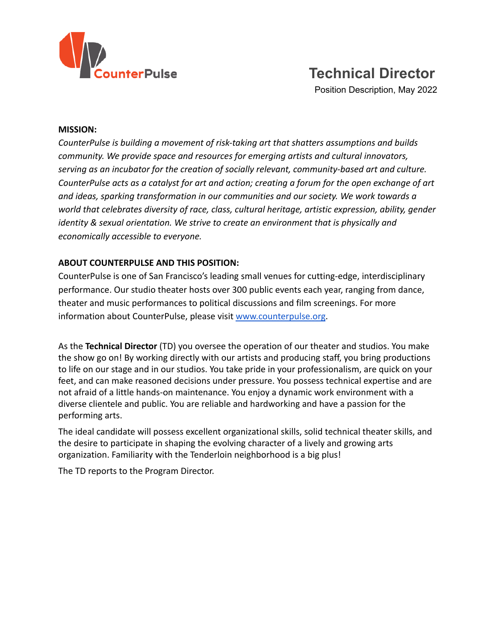

# **Technical Director**

Position Description, May 2022

#### **MISSION:**

*CounterPulse is building a movement of risk-taking art that shatters assumptions and builds community. We provide space and resources for emerging artists and cultural innovators, serving as an incubator for the creation of socially relevant, community-based art and culture. CounterPulse acts as a catalyst for art and action; creating a forum for the open exchange of art and ideas, sparking transformation in our communities and our society. We work towards a world that celebrates diversity of race, class, cultural heritage, artistic expression, ability, gender identity & sexual orientation. We strive to create an environment that is physically and economically accessible to everyone.*

#### **ABOUT COUNTERPULSE AND THIS POSITION:**

CounterPulse is one of San Francisco's leading small venues for cutting-edge, interdisciplinary performance. Our studio theater hosts over 300 public events each year, ranging from dance, theater and music performances to political discussions and film screenings. For more information about CounterPulse, please visit [www.counterpulse.org](http://www.counterpulse.org).

As the **Technical Director** (TD) you oversee the operation of our theater and studios. You make the show go on! By working directly with our artists and producing staff, you bring productions to life on our stage and in our studios. You take pride in your professionalism, are quick on your feet, and can make reasoned decisions under pressure. You possess technical expertise and are not afraid of a little hands-on maintenance. You enjoy a dynamic work environment with a diverse clientele and public. You are reliable and hardworking and have a passion for the performing arts.

The ideal candidate will possess excellent organizational skills, solid technical theater skills, and the desire to participate in shaping the evolving character of a lively and growing arts organization. Familiarity with the Tenderloin neighborhood is a big plus!

The TD reports to the Program Director.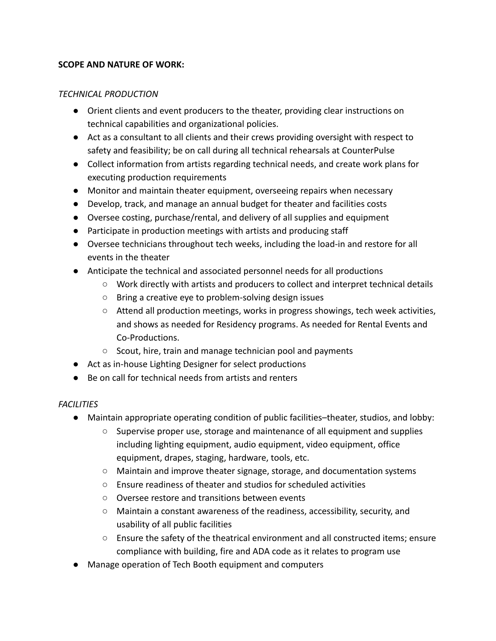#### **SCOPE AND NATURE OF WORK:**

#### *TECHNICAL PRODUCTION*

- Orient clients and event producers to the theater, providing clear instructions on technical capabilities and organizational policies.
- Act as a consultant to all clients and their crews providing oversight with respect to safety and feasibility; be on call during all technical rehearsals at CounterPulse
- Collect information from artists regarding technical needs, and create work plans for executing production requirements
- Monitor and maintain theater equipment, overseeing repairs when necessary
- Develop, track, and manage an annual budget for theater and facilities costs
- Oversee costing, purchase/rental, and delivery of all supplies and equipment
- Participate in production meetings with artists and producing staff
- Oversee technicians throughout tech weeks, including the load-in and restore for all events in the theater
- Anticipate the technical and associated personnel needs for all productions
	- Work directly with artists and producers to collect and interpret technical details
	- Bring a creative eye to problem-solving design issues
	- Attend all production meetings, works in progress showings, tech week activities, and shows as needed for Residency programs. As needed for Rental Events and Co-Productions.
	- Scout, hire, train and manage technician pool and payments
- Act as in-house Lighting Designer for select productions
- Be on call for technical needs from artists and renters

### *FACILITIES*

- Maintain appropriate operating condition of public facilities–theater, studios, and lobby:
	- Supervise proper use, storage and maintenance of all equipment and supplies including lighting equipment, audio equipment, video equipment, office equipment, drapes, staging, hardware, tools, etc.
	- Maintain and improve theater signage, storage, and documentation systems
	- Ensure readiness of theater and studios for scheduled activities
	- Oversee restore and transitions between events
	- Maintain a constant awareness of the readiness, accessibility, security, and usability of all public facilities
	- Ensure the safety of the theatrical environment and all constructed items; ensure compliance with building, fire and ADA code as it relates to program use
- Manage operation of Tech Booth equipment and computers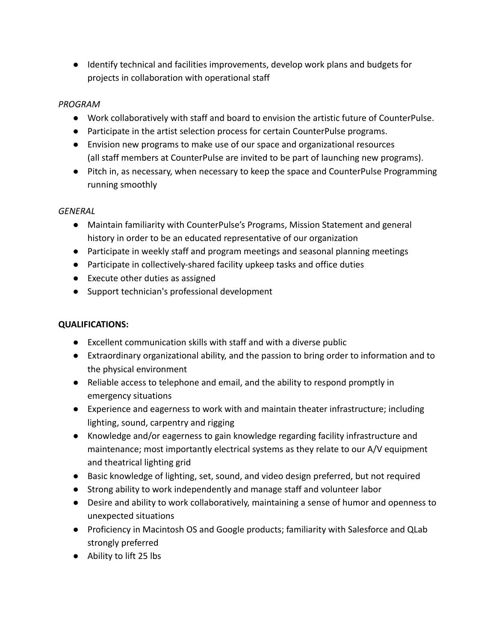● Identify technical and facilities improvements, develop work plans and budgets for projects in collaboration with operational staff

## *PROGRAM*

- Work collaboratively with staff and board to envision the artistic future of CounterPulse.
- Participate in the artist selection process for certain CounterPulse programs.
- Envision new programs to make use of our space and organizational resources (all staff members at CounterPulse are invited to be part of launching new programs).
- Pitch in, as necessary, when necessary to keep the space and CounterPulse Programming running smoothly

## *GENERAL*

- Maintain familiarity with CounterPulse's Programs, Mission Statement and general history in order to be an educated representative of our organization
- Participate in weekly staff and program meetings and seasonal planning meetings
- Participate in collectively-shared facility upkeep tasks and office duties
- Execute other duties as assigned
- Support technician's professional development

# **QUALIFICATIONS:**

- Excellent communication skills with staff and with a diverse public
- Extraordinary organizational ability, and the passion to bring order to information and to the physical environment
- Reliable access to telephone and email, and the ability to respond promptly in emergency situations
- Experience and eagerness to work with and maintain theater infrastructure; including lighting, sound, carpentry and rigging
- Knowledge and/or eagerness to gain knowledge regarding facility infrastructure and maintenance; most importantly electrical systems as they relate to our A/V equipment and theatrical lighting grid
- Basic knowledge of lighting, set, sound, and video design preferred, but not required
- Strong ability to work independently and manage staff and volunteer labor
- Desire and ability to work collaboratively, maintaining a sense of humor and openness to unexpected situations
- Proficiency in Macintosh OS and Google products; familiarity with Salesforce and QLab strongly preferred
- Ability to lift 25 lbs